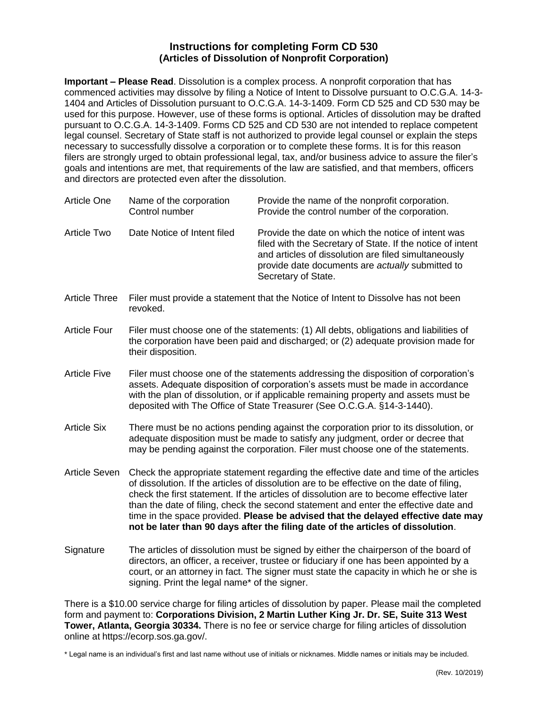## **Instructions for completing Form CD 530 (Articles of Dissolution of Nonprofit Corporation)**

**Important – Please Read**. Dissolution is a complex process. A nonprofit corporation that has commenced activities may dissolve by filing a Notice of Intent to Dissolve pursuant to O.C.G.A. [14-3-](http://www.sos.state.ga.us/cgi-bin/external.asp?link=www.legis.state.ga.us/cgi-bin/gl_codes_detail.pl?code=14-2-1403) [1404](http://www.sos.state.ga.us/cgi-bin/external.asp?link=www.legis.state.ga.us/cgi-bin/gl_codes_detail.pl?code=14-2-1403) and Articles of Dissolution pursuant to O.C.G.A. [14-3-1409.](http://www.sos.state.ga.us/cgi-bin/external.asp?link=www.legis.state.ga.us/cgi-bin/gl_codes_detail.pl?code=14-2-1408) Form CD 525 and CD 530 may be used for this purpose. However, use of these forms is optional. Articles of dissolution may be drafted pursuant to O.C.G.A. 14-3-1409. Forms CD 525 and CD 530 are not intended to replace competent legal counsel. Secretary of State staff is not authorized to provide legal counsel or explain the steps necessary to successfully dissolve a corporation or to complete these forms. It is for this reason filers are strongly urged to obtain professional legal, tax, and/or business advice to assure the filer's goals and intentions are met, that requirements of the law are satisfied, and that members, officers and directors are protected even after the dissolution.

| Article One | Name of the corporation<br>Control number | Provide the name of the nonprofit corporation.<br>Provide the control number of the corporation.                                                                                                                                                    |
|-------------|-------------------------------------------|-----------------------------------------------------------------------------------------------------------------------------------------------------------------------------------------------------------------------------------------------------|
| Article Two | Date Notice of Intent filed               | Provide the date on which the notice of intent was<br>filed with the Secretary of State. If the notice of intent<br>and articles of dissolution are filed simultaneously<br>provide date documents are actually submitted to<br>Secretary of State. |

- Article Three Filer must provide a statement that the Notice of Intent to Dissolve has not been revoked.
- Article Four Filer must choose one of the statements: (1) All debts, obligations and liabilities of the corporation have been paid and discharged; or (2) adequate provision made for their disposition.
- Article Five Filer must choose one of the statements addressing the disposition of corporation's assets. Adequate disposition of corporation's assets must be made in accordance with the plan of dissolution, or if applicable remaining property and assets must be deposited with The Office of State Treasurer (See O.C.G.A. §14-3-1440).
- Article Six There must be no actions pending against the corporation prior to its dissolution, or adequate disposition must be made to satisfy any judgment, order or decree that may be pending against the corporation. Filer must choose one of the statements.
- Article Seven Check the appropriate statement regarding the effective date and time of the articles of dissolution. If the articles of dissolution are to be effective on the date of filing, check the first statement. If the articles of dissolution are to become effective later than the date of filing, check the second statement and enter the effective date and time in the space provided. **Please be advised that the delayed effective date may not be later than 90 days after the filing date of the articles of dissolution**.
- Signature The articles of dissolution must be signed by either the chairperson of the board of directors, an officer, a receiver, trustee or fiduciary if one has been appointed by a court, or an attorney in fact. The signer must state the capacity in which he or she is signing. Print the legal name\* of the signer.

There is a \$10.00 service charge for filing articles of dissolution by paper. Please mail the completed form and payment to: **Corporations Division, 2 Martin Luther King Jr. Dr. SE, Suite 313 West Tower, Atlanta, Georgia 30334.** There is no fee or service charge for filing articles of dissolution online at https://ecorp.sos.ga.gov/.

\* Legal name is an individual's first and last name without use of initials or nicknames. Middle names or initials may be included.